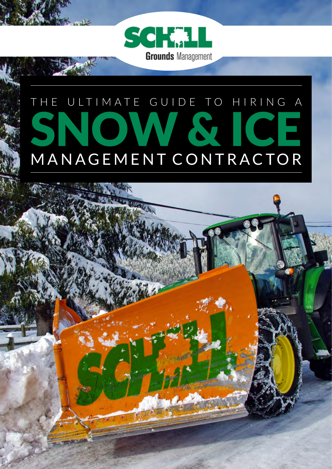

## THE ULTIMATE GUIDE TO HIRING A SNOW & ICE MANAGEMENT CONTRACTOR

**WE CHANGE**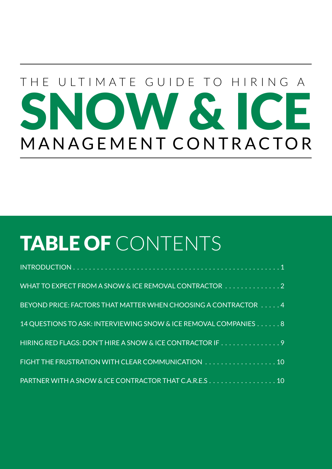# THE ULTIMATE GUIDE TO HIRING A SNOW & ICE MANAGEMENT CONTRACTOR

### TABLE OF CONTENTS

| WHAT TO EXPECT FROM A SNOW & ICE REMOVAL CONTRACTOR 2            |
|------------------------------------------------------------------|
| BEYOND PRICE: FACTORS THAT MATTER WHEN CHOOSING A CONTRACTOR 4   |
| 14 QUESTIONS TO ASK: INTERVIEWING SNOW & ICE REMOVAL COMPANIES 8 |
| HIRING RED FLAGS: DON'T HIRE A SNOW & ICE CONTRACTOR IF 9        |
| FIGHT THE FRUSTRATION WITH CLEAR COMMUNICATION 10                |
| PARTNER WITH A SNOW & ICE CONTRACTOR THAT C.A.R.E.S 10           |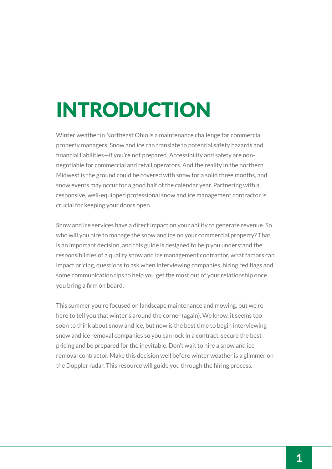### INTRODUCTION

Winter weather in Northeast Ohio is a maintenance challenge for commercial property managers. Snow and ice can translate to potential safety hazards and financial liabilities—if you're not prepared. Accessibility and safety are nonnegotiable for commercial and retail operators. And the reality in the northern Midwest is the ground could be covered with snow for a solid three months, and snow events may occur for a good half of the calendar year. Partnering with a responsive, well-equipped professional snow and ice management contractor is crucial for keeping your doors open.

Snow and ice services have a direct impact on your ability to generate revenue. So who will you hire to manage the snow and ice on your commercial property? That is an important decision, and this guide is designed to help you understand the responsibilities of a quality snow and ice management contractor, what factors can impact pricing, questions to ask when interviewing companies, hiring red flags and some communication tips to help you get the most out of your relationship once you bring a firm on board.

This summer you're focused on landscape maintenance and mowing, but we're here to tell you that winter's around the corner (again). We know, it seems too soon to think about snow and ice, but now is the best time to begin interviewing snow and ice removal companies so you can lock in a contract, secure the best pricing and be prepared for the inevitable. Don't wait to hire a snow and ice removal contractor. Make this decision well before winter weather is a glimmer on the Doppler radar. This resource will guide you through the hiring process.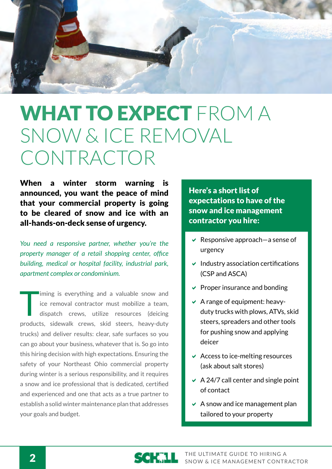

### WHAT TO EXPECT FROM A SNOW & ICE REMOVAL CONTRACTOR

When a winter storm warning is announced, you want the peace of mind that your commercial property is going to be cleared of snow and ice with an all-hands-on-deck sense of urgency.

*You need a responsive partner, whether you're the property manager of a retail shopping center, office building, medical or hospital facility, industrial park, apartment complex or condominium.* 

Iming is everything and a valuable snow and ice removal contractor must mobilize a team, dispatch crews, utilize resources (deicing products, sidewalk crews, skid steers, heavy-duty trucks) and deliver results: clear, safe surfaces so you can go about your business, whatever that is. So go into this hiring decision with high expectations. Ensuring the safety of your Northeast Ohio commercial property during winter is a serious responsibility, and it requires a snow and ice professional that is dedicated, certified and experienced and one that acts as a true partner to establish a solid winter maintenance plan that addresses your goals and budget.

Here's a short list of expectations to have of the snow and ice management contractor you hire:

- Responsive approach—a sense of urgency
- $\vee$  Industry association certifications (CSP and ASCA)
- $\vee$  Proper insurance and bonding
- $\vee$  A range of equipment: heavyduty trucks with plows, ATVs, skid steers, spreaders and other tools for pushing snow and applying deicer
- $\vee$  Access to ice-melting resources (ask about salt stores)
- $\vee$  A 24/7 call center and single point of contact
- $\vee$  A snow and ice management plan tailored to your property

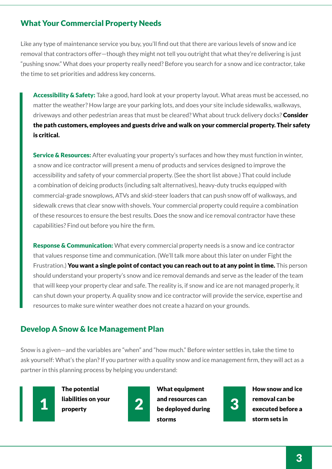#### What Your Commercial Property Needs

Like any type of maintenance service you buy, you'll find out that there are various levels of snow and ice removal that contractors offer—though they might not tell you outright that what they're delivering is just "pushing snow." What does your property really need? Before you search for a snow and ice contractor, take the time to set priorities and address key concerns.

Accessibility & Safety: Take a good, hard look at your property layout. What areas must be accessed, no matter the weather? How large are your parking lots, and does your site include sidewalks, walkways, driveways and other pedestrian areas that must be cleared? What about truck delivery docks? Consider the path customers, employees and guests drive and walk on your commercial property. Their safety is critical.

**Service & Resources:** After evaluating your property's surfaces and how they must function in winter, a snow and ice contractor will present a menu of products and services designed to improve the accessibility and safety of your commercial property. (See the short list above.) That could include a combination of deicing products (including salt alternatives), heavy-duty trucks equipped with commercial-grade snowplows, ATVs and skid-steer loaders that can push snow off of walkways, and sidewalk crews that clear snow with shovels. Your commercial property could require a combination of these resources to ensure the best results. Does the snow and ice removal contractor have these capabilities? Find out before you hire the firm.

Response & Communication: What every commercial property needs is a snow and ice contractor that values response time and communication. (We'll talk more about this later on under Fight the Frustration.) You want a single point of contact you can reach out to at any point in time. This person should understand your property's snow and ice removal demands and serve as the leader of the team that will keep your property clear and safe. The reality is, if snow and ice are not managed properly, it can shut down your property. A quality snow and ice contractor will provide the service, expertise and resources to make sure winter weather does not create a hazard on your grounds.

#### Develop A Snow & Ice Management Plan

Snow is a given—and the variables are "when" and "how much." Before winter settles in, take the time to ask yourself: What's the plan? If you partner with a quality snow and ice management firm, they will act as a partner in this planning process by helping you understand:



The potential liabilities on your property



What equipment and resources can 1 liabilities on your 2 and resources can<br>be deployed during 3 storms



How snow and ice removal can be executed before a storm sets in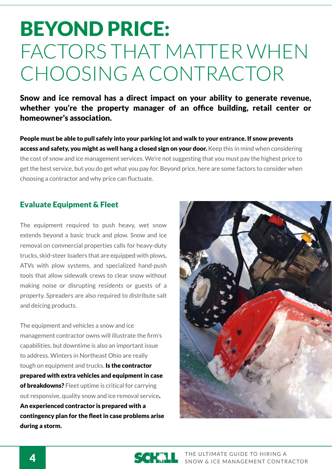### BEYOND PRICE: FACTORS THAT MATTER WHEN CHOOSING A CONTRACTOR

Snow and ice removal has a direct impact on your ability to generate revenue, whether you're the property manager of an office building, retail center or homeowner's association.

People must be able to pull safely into your parking lot and walk to your entrance. If snow prevents access and safety, you might as well hang a closed sign on your door. Keep this in mind when considering the cost of snow and ice management services. We're not suggesting that you must pay the highest price to get the best service, but you do get what you pay for. Beyond price, here are some factors to consider when choosing a contractor and why price can fluctuate.

#### Evaluate Equipment & Fleet

The equipment required to push heavy, wet snow extends beyond a basic truck and plow. Snow and ice removal on commercial properties calls for heavy-duty trucks, skid-steer loaders that are equipped with plows, ATVs with plow systems, and specialized hand-push tools that allow sidewalk crews to clear snow without making noise or disrupting residents or guests of a property. Spreaders are also required to distribute salt and deicing products.

The equipment and vehicles a snow and ice management contractor owns will illustrate the firm's capabilities, but downtime is also an important issue to address. Winters in Northeast Ohio are really tough on equipment and trucks. Is the contractor prepared with extra vehicles and equipment in case of breakdowns? Fleet uptime is critical for carrying out responsive, quality snow and ice removal service. An experienced contractor is prepared with a contingency plan for the fleet in case problems arise during a storm.



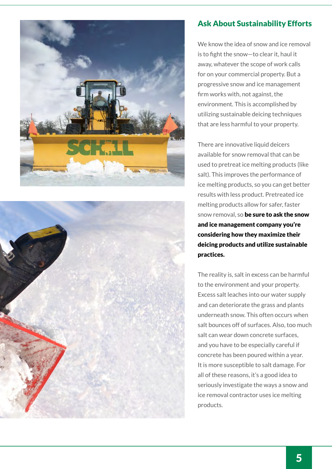



#### Ask About Sustainability Efforts

We know the idea of snow and ice removal is to fight the snow—to clear it, haul it away, whatever the scope of work calls for on your commercial property. But a progressive snow and ice management firm works with, not against, the environment. This is accomplished by utilizing sustainable deicing techniques that are less harmful to your property.

There are innovative liquid deicers available for snow removal that can be used to pretreat ice melting products (like salt). This improves the performance of ice melting products, so you can get better results with less product. Pretreated ice melting products allow for safer, faster snow removal, so be sure to ask the snow and ice management company you're considering how they maximize their deicing products and utilize sustainable practices.

The reality is, salt in excess can be harmful to the environment and your property. Excess salt leaches into our water supply and can deteriorate the grass and plants underneath snow. This often occurs when salt bounces off of surfaces. Also, too much salt can wear down concrete surfaces, and you have to be especially careful if concrete has been poured within a year. It is more susceptible to salt damage. For all of these reasons, it's a good idea to seriously investigate the ways a snow and ice removal contractor uses ice melting products.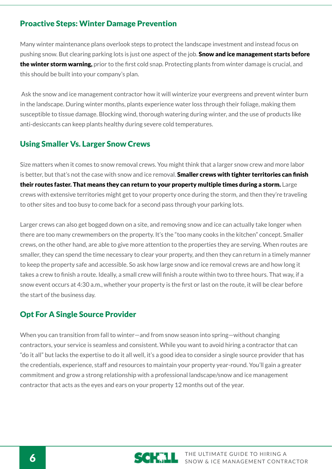#### Proactive Steps: Winter Damage Prevention

Many winter maintenance plans overlook steps to protect the landscape investment and instead focus on pushing snow. But clearing parking lots is just one aspect of the job. **Snow and ice management starts before** the winter storm warning, prior to the first cold snap. Protecting plants from winter damage is crucial, and this should be built into your company's plan.

 Ask the snow and ice management contractor how it will winterize your evergreens and prevent winter burn in the landscape. During winter months, plants experience water loss through their foliage, making them susceptible to tissue damage. Blocking wind, thorough watering during winter, and the use of products like anti-desiccants can keep plants healthy during severe cold temperatures.

#### Using Smaller Vs. Larger Snow Crews

Size matters when it comes to snow removal crews. You might think that a larger snow crew and more labor is better, but that's not the case with snow and ice removal. Smaller crews with tighter territories can finish their routes faster. That means they can return to your property multiple times during a storm. Large crews with extensive territories might get to your property once during the storm, and then they're traveling to other sites and too busy to come back for a second pass through your parking lots.

Larger crews can also get bogged down on a site, and removing snow and ice can actually take longer when there are too many crewmembers on the property. It's the "too many cooks in the kitchen" concept. Smaller crews, on the other hand, are able to give more attention to the properties they are serving. When routes are smaller, they can spend the time necessary to clear your property, and then they can return in a timely manner to keep the property safe and accessible. So ask how large snow and ice removal crews are and how long it takes a crew to finish a route. Ideally, a small crew will finish a route within two to three hours. That way, if a snow event occurs at 4:30 a.m., whether your property is the first or last on the route, it will be clear before the start of the business day.

#### Opt For A Single Source Provider

When you can transition from fall to winter—and from snow season into spring—without changing contractors, your service is seamless and consistent. While you want to avoid hiring a contractor that can "do it all" but lacks the expertise to do it all well, it's a good idea to consider a single source provider that has the credentials, experience, staff and resources to maintain your property year-round. You'll gain a greater commitment and grow a strong relationship with a professional landscape/snow and ice management contractor that acts as the eyes and ears on your property 12 months out of the year.

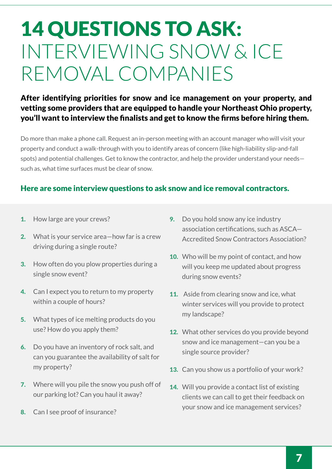### 14 QUESTIONS TO ASK: INTERVIEWING SNOW & ICE REMOVAL COMPANIES

#### After identifying priorities for snow and ice management on your property, and vetting some providers that are equipped to handle your Northeast Ohio property, you'll want to interview the finalists and get to know the firms before hiring them.

Do more than make a phone call. Request an in-person meeting with an account manager who will visit your property and conduct a walk-through with you to identify areas of concern (like high-liability slip-and-fall spots) and potential challenges. Get to know the contractor, and help the provider understand your needs such as, what time surfaces must be clear of snow.

#### Here are some interview questions to ask snow and ice removal contractors.

- 1. How large are your crews?
- 2. What is your service area—how far is a crew driving during a single route?
- 3. How often do you plow properties during a single snow event?
- 4. Can I expect you to return to my property within a couple of hours?
- 5. What types of ice melting products do you use? How do you apply them?
- 6. Do you have an inventory of rock salt, and can you guarantee the availability of salt for my property?
- 7. Where will you pile the snow you push off of our parking lot? Can you haul it away?
- 8. Can I see proof of insurance?
- 9. Do you hold snow any ice industry association certifications, such as ASCA— Accredited Snow Contractors Association?
- 10. Who will be my point of contact, and how will you keep me updated about progress during snow events?
- 11. Aside from clearing snow and ice, what winter services will you provide to protect my landscape?
- 12. What other services do you provide beyond snow and ice management—can you be a single source provider?
- 13. Can you show us a portfolio of your work?
- 14. Will you provide a contact list of existing clients we can call to get their feedback on your snow and ice management services?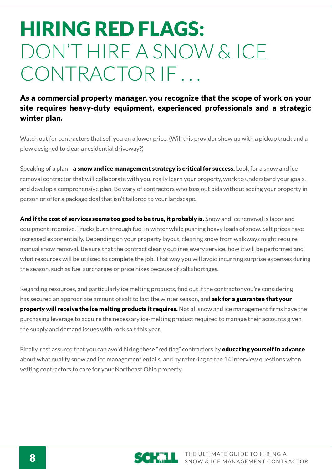### HIRING RED FLAGS: DON'T HIRE A SNOW & ICE CONTRACTOR IF

#### As a commercial property manager, you recognize that the scope of work on your site requires heavy-duty equipment, experienced professionals and a strategic winter plan.

Watch out for contractors that sell you on a lower price. (Will this provider show up with a pickup truck and a plow designed to clear a residential driveway?)

Speaking of a plan—**a snow and ice management strategy is critical for success.** Look for a snow and ice removal contractor that will collaborate with you, really learn your property, work to understand your goals, and develop a comprehensive plan. Be wary of contractors who toss out bids without seeing your property in person or offer a package deal that isn't tailored to your landscape.

And if the cost of services seems too good to be true, it probably is. Snow and ice removal is labor and equipment intensive. Trucks burn through fuel in winter while pushing heavy loads of snow. Salt prices have increased exponentially. Depending on your property layout, clearing snow from walkways might require manual snow removal. Be sure that the contract clearly outlines every service, how it will be performed and what resources will be utilized to complete the job. That way you will avoid incurring surprise expenses during the season, such as fuel surcharges or price hikes because of salt shortages.

Regarding resources, and particularly ice melting products, find out if the contractor you're considering has secured an appropriate amount of salt to last the winter season, and ask for a guarantee that your property will receive the ice melting products it requires. Not all snow and ice management firms have the purchasing leverage to acquire the necessary ice-melting product required to manage their accounts given the supply and demand issues with rock salt this year.

Finally, rest assured that you can avoid hiring these "red flag" contractors by **educating yourself in advance** about what quality snow and ice management entails, and by referring to the 14 interview questions when vetting contractors to care for your Northeast Ohio property.

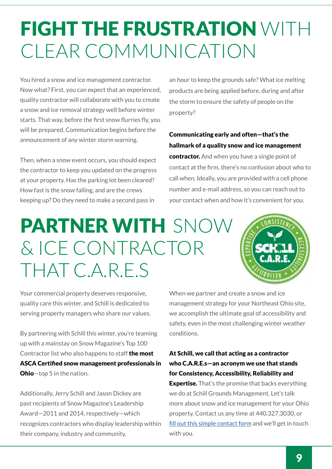### FIGHT THE FRUSTRATION WITH CLEAR COMMUNICATION

You hired a snow and ice management contractor. Now what? First, you can expect that an experienced, quality contractor will collaborate with you to create a snow and ice removal strategy well before winter starts. That way, before the first snow flurries fly, you will be prepared. Communication begins before the announcement of any winter storm warning.

Then, when a snow event occurs, you should expect the contractor to keep you updated on the progress at your property. Has the parking lot been cleared? How fast is the snow falling, and are the crews keeping up? Do they need to make a second pass in

an hour to keep the grounds safe? What ice melting products are being applied before, during and after the storm to ensure the safety of people on the property?

Communicating early and often—that's the hallmark of a quality snow and ice management contractor. And when you have a single point of contact at the firm, there's no confusion about who to call when. Ideally, you are provided with a cell phone number and e-mail address, so you can reach out to your contact when and how it's convenient for you.

### PARTNER WITH SNOW & ICE CONTRACTOR THAT C.A.R.E.S



Your commercial property deserves responsive, quality care this winter, and Schill is dedicated to serving property managers who share our values.

By partnering with Schill this winter, you're teaming up with a mainstay on Snow Magazine's Top 100 Contractor list who also happens to staff the most ASCA Certified snow management professionals in **Ohio**—top 5 in the nation.

Additionally, Jerry Schill and Jason Dickey are past recipients of Snow Magazine's Leadership Award—2011 and 2014, respectively—which recognizes contractors who display leadership within their company, industry and community.

When we partner and create a snow and ice management strategy for your Northeast Ohio site, we accomplish the ultimate goal of accessibility and safety, even in the most challenging winter weather conditions.

#### At Schill, we call that acting as a contractor who C.A.R.E.s—an acronym we use that stands for Consistency, Accessibility, Reliability and

**Expertise.** That's the promise that backs everything we do at Schill Grounds Management. Let's talk more about snow and ice management for your Ohio property. Contact us any time at 440.327.3030, or [fill out this simple contact form](http://hubs.ly/y0WMk30 ) and we'll get in touch with you.